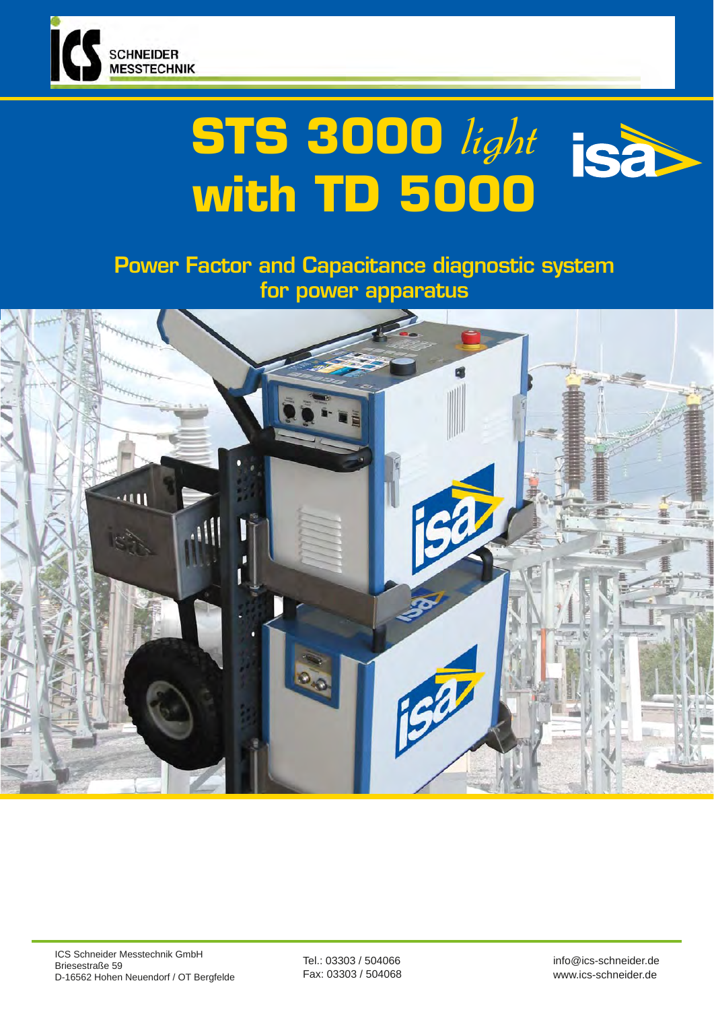

# **STS 3000** light **with TD 5000**

Power Factor and Capacitance diagnostic system for power apparatus



Tel.: 03303 / 504066 Fax: 03303 / 504068 info@ics-schneider.de www.ics-schneider.de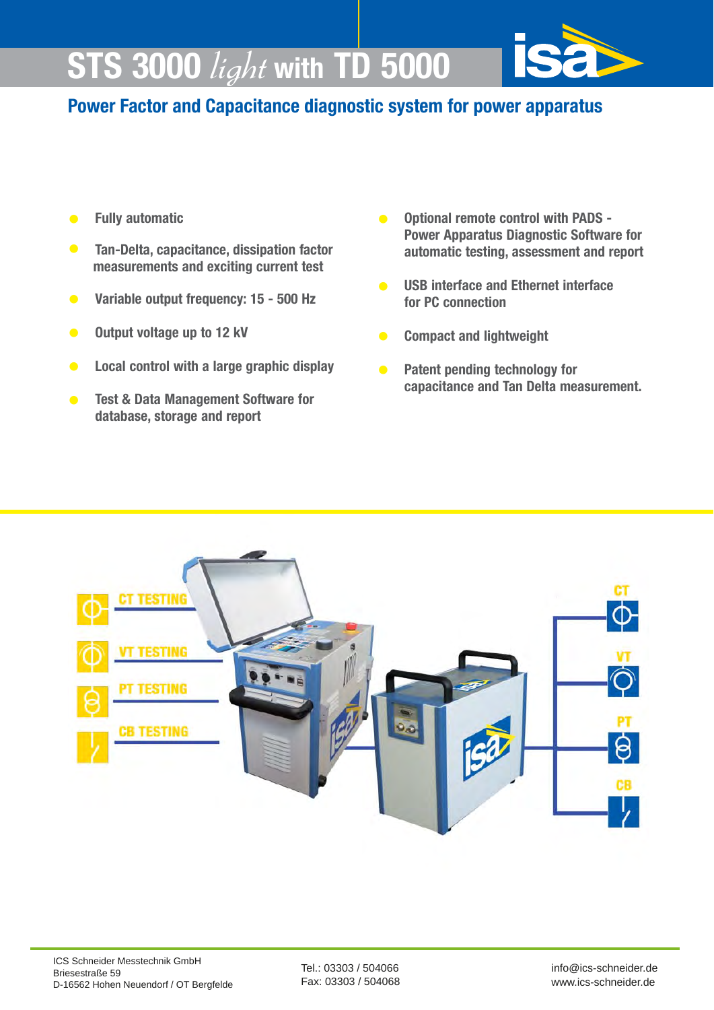# **STS 3000** light **with TD 5000**



# **Power Factor and Capacitance diagnostic system for power apparatus**

- **• Fully automatic**
- **Tan-Delta, capacitance, dissipation factor measurements and exciting current test**
- **Variable output frequency: 15 500 Hz**
- **• Output voltage up to 12 kV**
- **• Local control with a large graphic display**
- **• Test & Data Management Software for database, storage and report**
- **• Optional remote control with PADS Power Apparatus Diagnostic Software for automatic testing, assessment and report**
- **• USB interface and Ethernet interface for PC connection**
- **• Compact and lightweight**
- **• Patent pending technology for capacitance and Tan Delta measurement.**

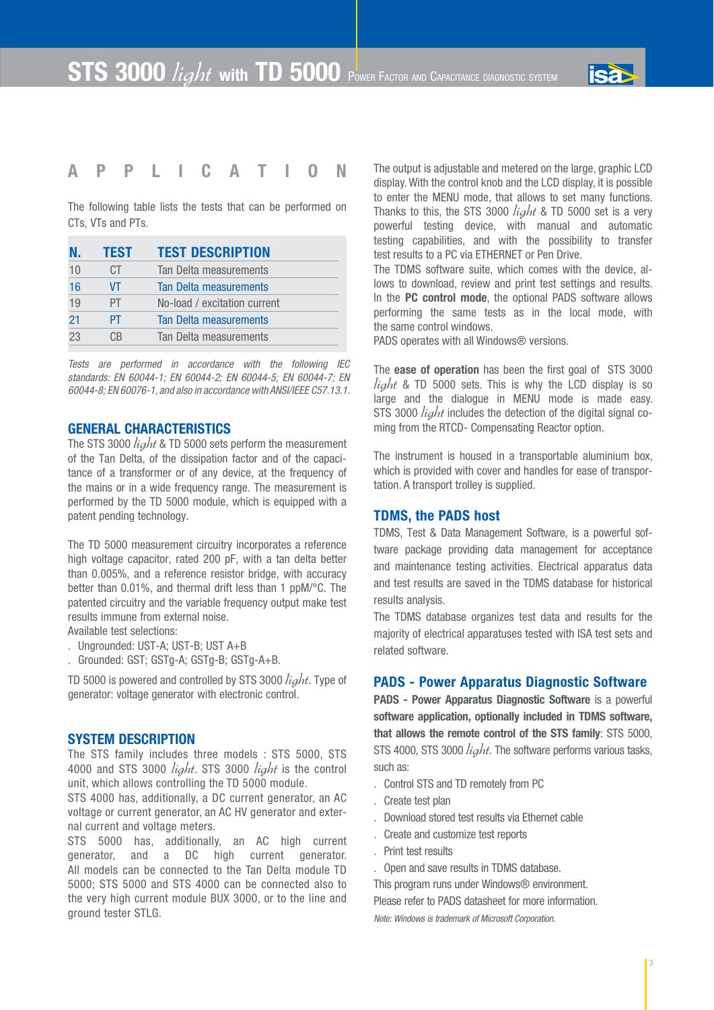

### **APPLICATION**

The following table lists the tests that can be performed on CTs, VTs and PTs.

| N. | <b>TEST</b> | <b>TEST DESCRIPTION</b>      |
|----|-------------|------------------------------|
| 10 | СT          | Tan Delta measurements       |
| 16 | VT          | Tan Delta measurements       |
| 19 | РT          | No-load / excitation current |
| 21 | PT          | Tan Delta measurements       |
| 23 | C.B         | Tan Delta measurements       |

*Tests are performed in accordance with the following IEC standards: EN 60044-1; EN 60044-2; EN 60044-5; EN 60044-7; EN 60044-8; EN 60076-1, and also in accordance with ANSI/IEEE C57.13.1.* 

#### **GENERAL CHARACTERISTICS**

The STS 3000  $\hat{light}$  & TD 5000 sets perform the measurement of the Tan Delta, of the dissipation factor and of the capacitance of a transformer or of any device, at the frequency of the mains or in a wide frequency range. The measurement is performed by the TD 5000 module, which is equipped with a patent pending technology.

The TD 5000 measurement circuitry incorporates a reference high voltage capacitor, rated 200 pF, with a tan delta better than 0.005%, and a reference resistor bridge, with accuracy better than 0.01%, and thermal drift less than 1 ppM/°C. The patented circuitry and the variable frequency output make test results immune from external noise.

Available test selections:

- . Ungrounded: UST-A; UST-B; UST A+B
- . Grounded: GST; GSTg-A; GSTg-B; GSTg-A+B.

TD 5000 is powered and controlled by STS 3000 *light*. Type of generator: voltage generator with electronic control.

#### **SYSTEM DESCRIPTION**

The STS family includes three models : STS 5000, STS 4000 and STS 3000  $light$ . STS 3000  $light$  is the control unit, which allows controlling the TD 5000 module.

STS 4000 has, additionally, a DC current generator, an AC voltage or current generator, an AC HV generator and external current and voltage meters.

STS 5000 has, additionally, an AC high current generator, and a DC high current generator. All models can be connected to the Tan Delta module TD 5000; STS 5000 and STS 4000 can be connected also to the very high current module BUX 3000, or to the line and ground tester STLG.

The output is adjustable and metered on the large, graphic LCD display. With the control knob and the LCD display, it is possible to enter the MENU mode, that allows to set many functions. Thanks to this, the STS 3000 *light* & TD 5000 set is a very powerful testing device, with manual and automatic testing capabilities, and with the possibility to transfer test results to a PC via ETHERNET or Pen Drive.

The TDMS software suite, which comes with the device, allows to download, review and print test settings and results. In the **PC control mode**, the optional PADS software allows performing the same tests as in the local mode, with the same control windows.

PADS operates with all Windows® versions.

The **ease of operation** has been the first goal of STS 3000  $\ell i \gtrless h t$  & TD 5000 sets. This is why the LCD display is so large and the dialogue in MENU mode is made easy. STS 3000 *light* includes the detection of the digital signal coming from the RTCD- Compensating Reactor option.

The instrument is housed in a transportable aluminium box, which is provided with cover and handles for ease of transportation. A transport trolley is supplied.

#### **TDMS, the PADS host**

TDMS, Test & Data Management Software, is a powerful software package providing data management for acceptance and maintenance testing activities. Electrical apparatus data and test results are saved in the TDMS database for historical results analysis.

The TDMS database organizes test data and results for the majority of electrical apparatuses tested with ISA test sets and related software.

#### **PADS - Power Apparatus Diagnostic Software**

**PADS - Power Apparatus Diagnostic Software** is a powerful **software application, optionally included in TDMS software, that allows the remote control of the STS family**: STS 5000, STS 4000, STS 3000  $light$ . The software performs various tasks, such as:

- . Control STS and TD remotely from PC
- . Create test plan
- . Download stored test results via Ethernet cable
- . Create and customize test reports
- . Print test results
- . Open and save results in TDMS database.

This program runs under Windows® environment. Please refer to PADS datasheet for more information.

*Note: Windows is trademark of Microsoft Corporation.*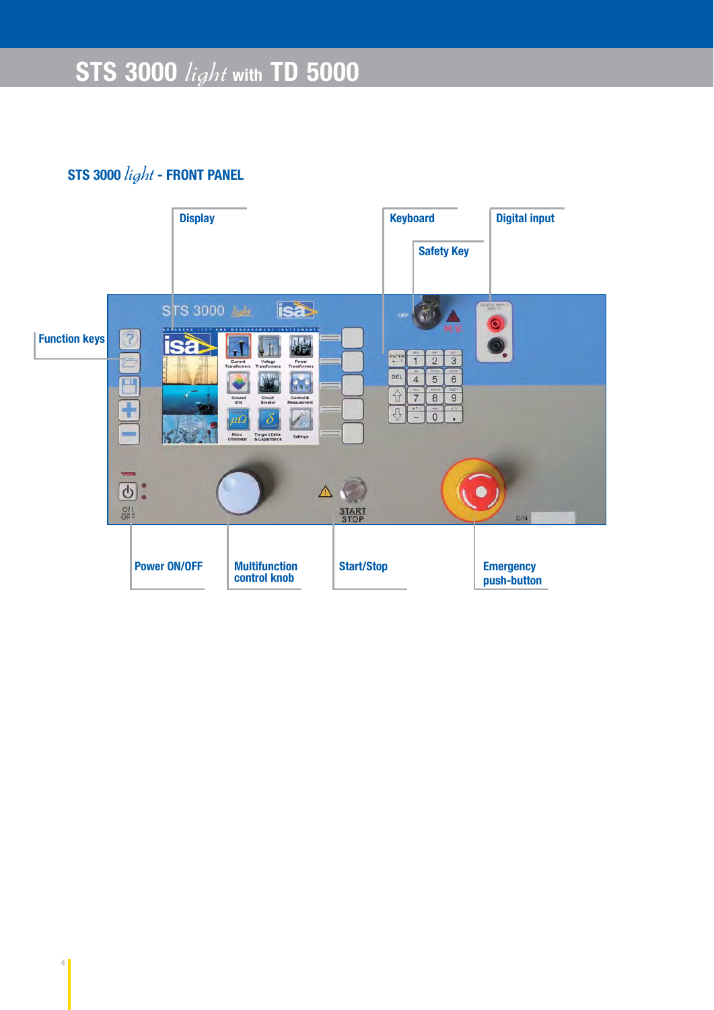# **STS 3000** light **- FRONT PANEL**

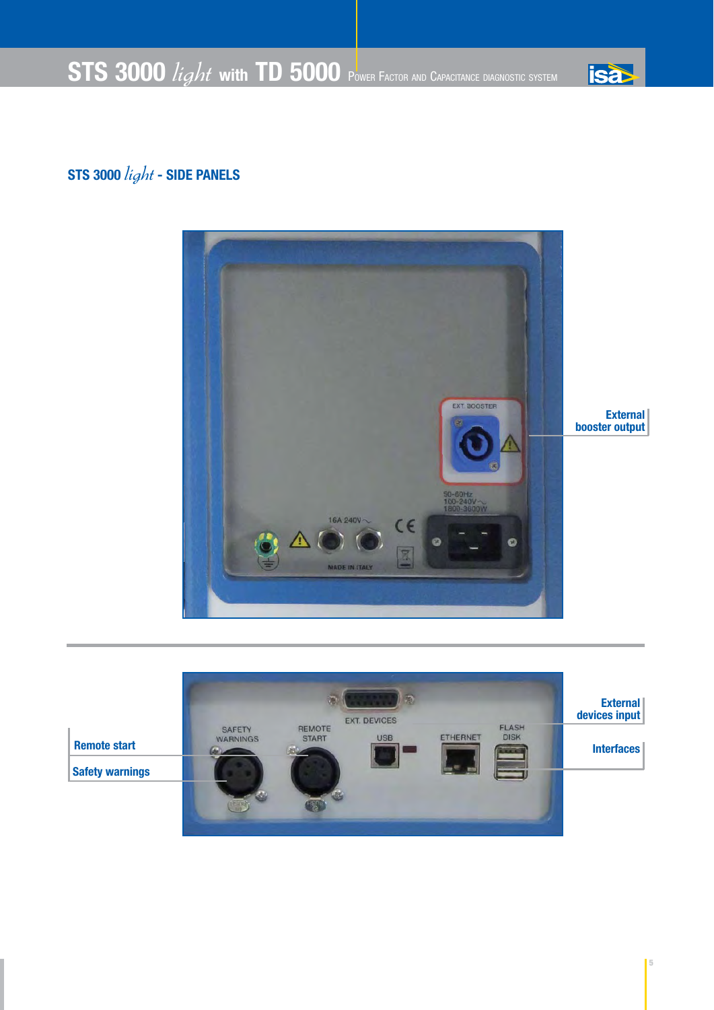

# **isa**

# **STS 3000** light **- SIDE PANELS**



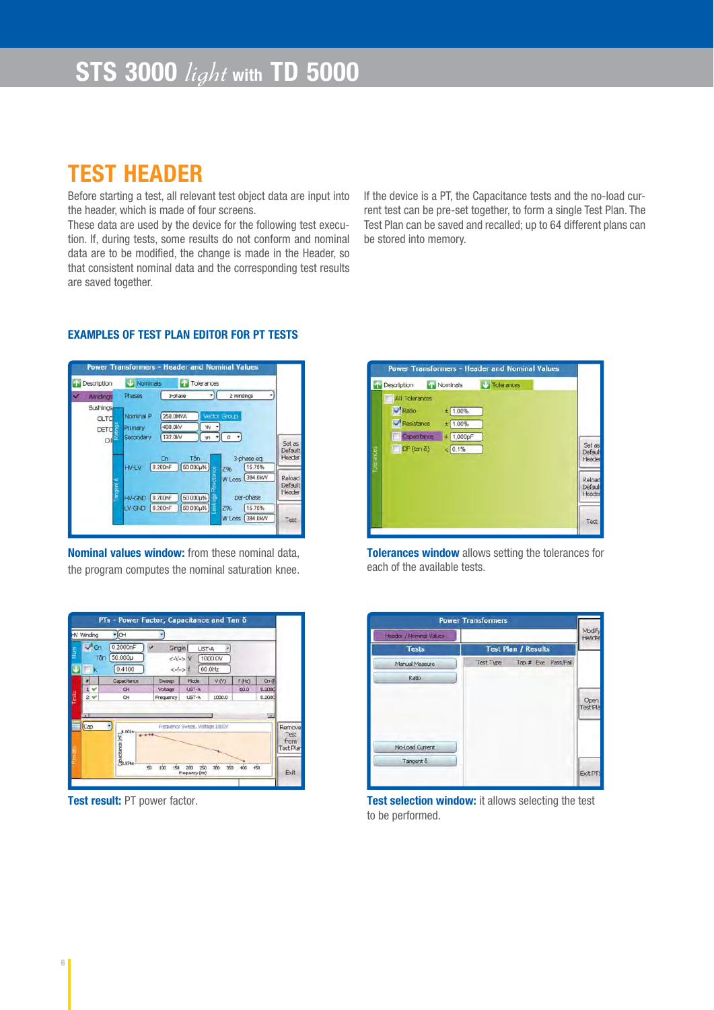# **TEST HEADER**

Before starting a test, all relevant test object data are input into the header, which is made of four screens.

These data are used by the device for the following test execution. If, during tests, some results do not conform and nominal data are to be modified, the change is made in the Header, so that consistent nominal data and the corresponding test results are saved together.

If the device is a PT, the Capacitance tests and the no-load current test can be pre-set together, to form a single Test Plan. The Test Plan can be saved and recalled; up to 64 different plans can be stored into memory.

#### **Power Transformers - Header and Nominal Values Tolerances Description** Nominals  $\neg$ C Phases 3-phase 2 Windings Windings Bushings **Nominal P** 250,0MVA  $\alpha$  TC  $4000k$  $\overline{w}$ rimary **DETO**  $(m - 0)$ 132.0kV  $\sim$ Set as<br>Default<br>Header Tốn  $Cn$ 3-phase eq  $W + W$  $(0.200nF)$   $(50.000\mu\%$  $(15.75%)$ Z96 W Loss 384.0kW Reloa Default<br>Header V-GND 0.200nF 60.000µ% per-phase V-GND 0.200nF 60.000µ%  $(15.75%$ W Loss 384.0KW Test

**Nominal values window:** from these nominal data, the program computes the nominal saturation knee.



**Tolerances window** allows setting the tolerances for each of the available tests.





**Test result:** PT power factor. **Test selection window:** it allows selecting the test to be performed.

#### **EXAMPLES OF TEST PLAN EDITOR FOR PT TESTS**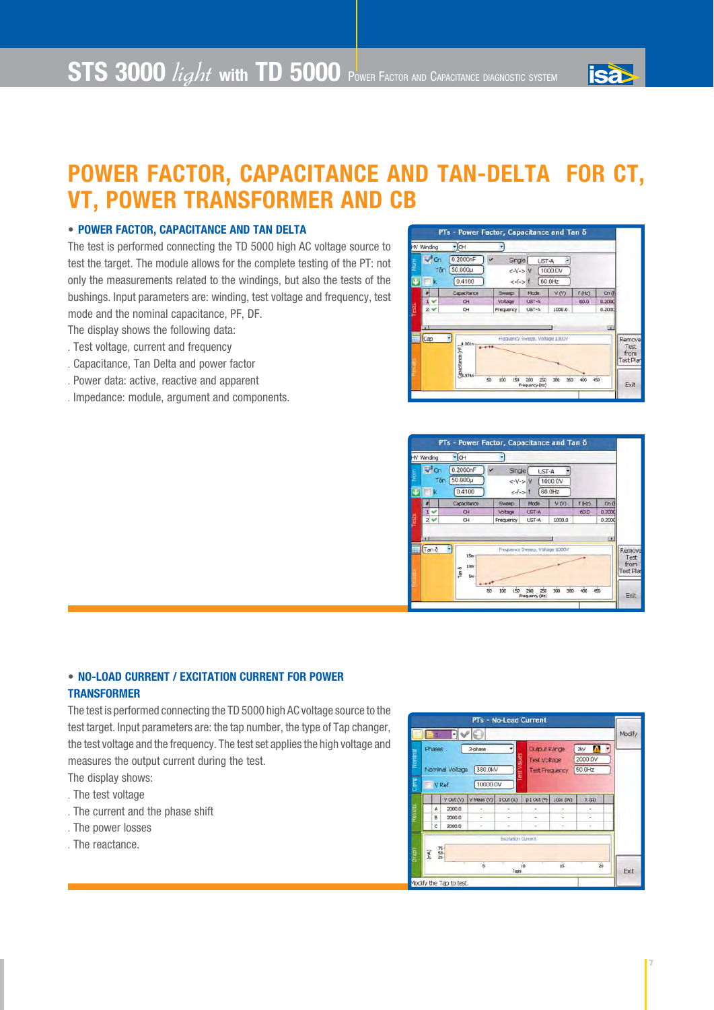# **POWER FACTOR, CAPACITANCE AND TAN-DELTA FOR CT, VT, POWER TRANSFORMER AND CB**

#### • **POWER FACTOR, CAPACITANCE AND TAN DELTA**

The test is performed connecting the TD 5000 high AC voltage source to test the target. The module allows for the complete testing of the PT: not only the measurements related to the windings, but also the tests of the bushings. Input parameters are: winding, test voltage and frequency, test mode and the nominal capacitance, PF, DF.

The display shows the following data:

- . Test voltage, current and frequency
- . Capacitance, Tan Delta and power factor
- . Power data: active, reactive and apparent
- . Impedance: module, argument and components.



**isax** 



#### • **NO-LOAD CURRENT / EXCITATION CURRENT FOR POWER TRANSFORMER**

The test is performed connecting the TD 5000 high AC voltage source to the test target. Input parameters are: the tap number, the type of Tap changer, the test voltage and the frequency. The test set applies the high voltage and measures the output current during the test.

- The display shows:
- . The test voltage
- . The current and the phase shift
- . The power losses
- . The reactance.



 **7**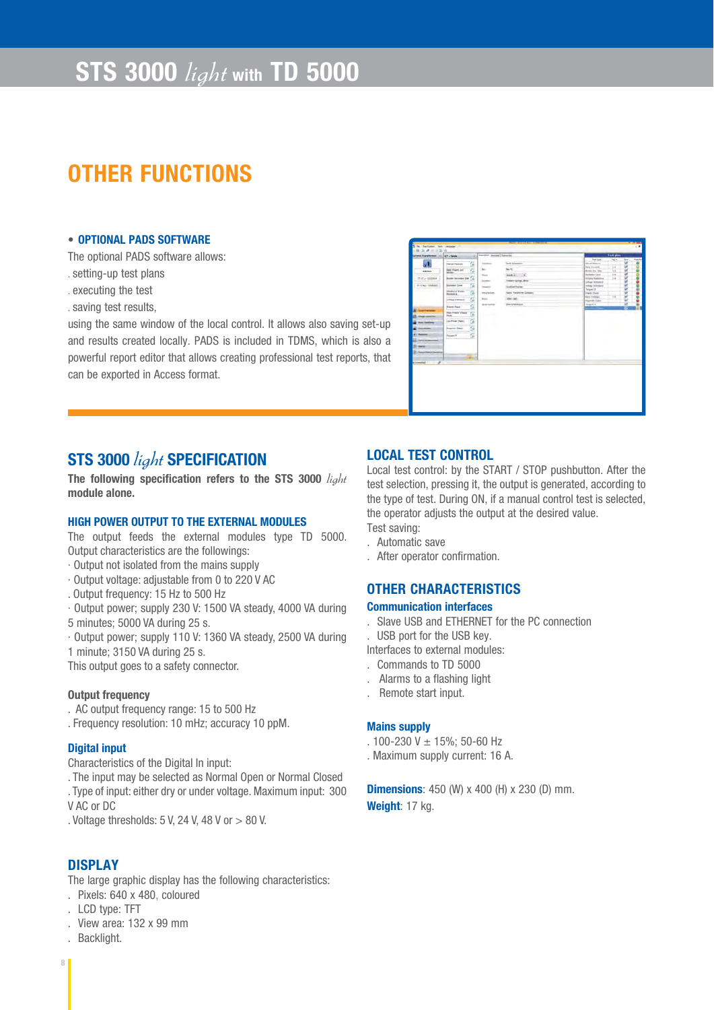# **STS 3000** light **with TD 5000**

# **OTHER FUNCTIONS**

#### • **OPTIONAL PADS SOFTWARE**

The optional PADS software allows:

- . setting-up test plans
- . executing the test
- . saving test results,

using the same window of the local control. It allows also saving set-up and results created locally. PADS is included in TDMS, which is also a powerful report editor that allows creating professional test reports, that can be exported in Access format.

| Syracle Transference  CT-Texas                                                                                                                                                                                                                                                                                                                                                                                                                                                                                                                                    | Secritor (annual Tairance)                                                                                       |                                                                                                                                                    |                                                                                                                                                                                                                                                                              |                                                                       |                                         |                |
|-------------------------------------------------------------------------------------------------------------------------------------------------------------------------------------------------------------------------------------------------------------------------------------------------------------------------------------------------------------------------------------------------------------------------------------------------------------------------------------------------------------------------------------------------------------------|------------------------------------------------------------------------------------------------------------------|----------------------------------------------------------------------------------------------------------------------------------------------------|------------------------------------------------------------------------------------------------------------------------------------------------------------------------------------------------------------------------------------------------------------------------------|-----------------------------------------------------------------------|-----------------------------------------|----------------|
| $-20$<br>s<br>阻<br>G)<br><b>Paint Nation</b><br>面<br>Aski Fularis and<br>airms.<br><b>Solder</b><br><b>Adm booms Im (A)</b><br><b>IT IT J - GIGHIA</b><br>国<br>Backene Line<br><b>IN 1742, USANO</b><br><b>Joseph Callery</b><br>G,<br>G)<br>volume training<br>G)<br>French Clark<br><b>Rata Frieds/Village</b><br>Ğ,<br><b>Inche</b><br><b><i><u>Stage Transform</u></i></b><br>a<br>Los From (Fast)<br><b>Low Hotel Ave</b><br>n.<br><b>August Over:</b><br>---<br>-<br>G.<br>Toront E.<br>--<br>-<br><b>Insert Tenni &amp; Cauchiana</b><br>-<br>A Commercial | <b>Service</b><br>$p_{\text{in}}$<br>Total I<br><b>Goodwin</b><br><b>Search</b><br>Healthlow<br>Points.<br>Arken | <b>Sells Schools</b><br>Im 1<br>PHOEN: IT<br>Instan Grip, Bra-<br><b>Seatted Rental</b><br>Fare Taratore Grossen<br>1440 GML<br><b>MANUFACTURE</b> | Twel tops<br>New Chinese<br><b>New Classifica</b><br>Autor: Job. 20ly<br><b>Exchange Canal</b><br><b>Contract Galleries</b><br><b>Urbage highesterd</b><br>which tributes:<br><b>Tangent 2</b><br>Hardy Third<br><b>Bath Enlinest</b><br><b>Regional Public</b><br>Target E. | <b>Text plans</b><br>Taj #<br>$\overline{14}$<br>w<br>in.<br>38<br>14 | <b>by</b><br>ü<br>٠<br>u<br>u<br>u<br>п | <b>Fastlet</b> |

### **STS 3000** light **SPECIFICATION**

The following specification refers to the STS 3000 *light* **module alone.**

#### **HIGH POWER OUTPUT TO THE EXTERNAL MODULES**

The output feeds the external modules type TD 5000. Output characteristics are the followings:

- · Output not isolated from the mains supply
- · Output voltage: adjustable from 0 to 220 V AC
- . Output frequency: 15 Hz to 500 Hz
- · Output power; supply 230 V: 1500 VA steady, 4000 VA during 5 minutes; 5000 VA during 25 s.
- · Output power; supply 110 V: 1360 VA steady, 2500 VA during

1 minute; 3150 VA during 25 s.

This output goes to a safety connector.

#### **Output frequency**

- . AC output frequency range: 15 to 500 Hz
- . Frequency resolution: 10 mHz; accuracy 10 ppM.

#### **Digital input**

Characteristics of the Digital In input:

. The input may be selected as Normal Open or Normal Closed

. Type of input: either dry or under voltage. Maximum input: 300 V AC or DC

. Voltage thresholds: 5 V, 24 V, 48 V or > 80 V.

#### **DISPLAY**

The large graphic display has the following characteristics:

- . Pixels: 640 x 480, coloured
- . LCD type: TFT
- . View area: 132 x 99 mm
- . Backlight.

#### **LOCAL TEST CONTROL**

Local test control: by the START / STOP pushbutton. After the test selection, pressing it, the output is generated, according to the type of test. During ON, if a manual control test is selected, the operator adjusts the output at the desired value. Test saving:

- . Automatic save
- . After operator confirmation.

#### **OTHER CHARACTERISTICS**

#### **Communication interfaces**

- . Slave USB and ETHERNET for the PC connection
- . USB port for the USB key.
- Interfaces to external modules:
- . Commands to TD 5000
- . Alarms to a flashing light
- . Remote start input.

#### **Mains supply**

- . 100-230 V ± 15%; 50-60 Hz
- . Maximum supply current: 16 A.

**Dimensions**: 450 (W) x 400 (H) x 230 (D) mm. **Weight**: 17 kg.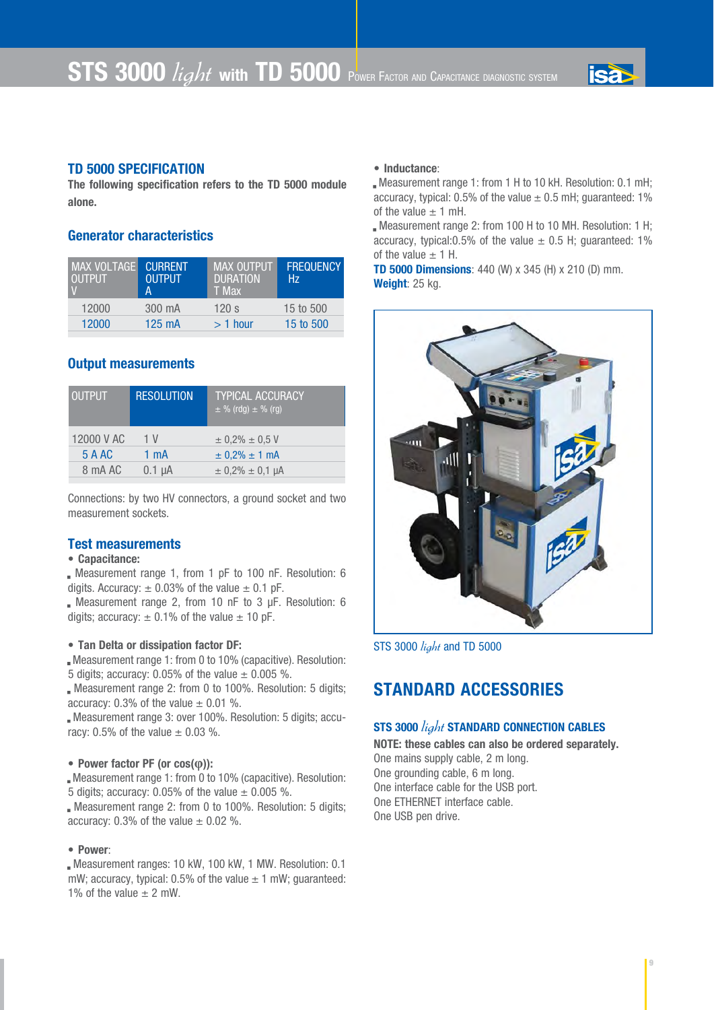

#### **TD 5000 SPECIFICATION**

**The following specification refers to the TD 5000 module alone.**

#### **Generator characteristics**

| MAX VOLTAGE<br><b>LOUTPUT</b> | <b>CURRENT</b><br>OUTPUT<br>А | <b>MAX OUTPUT</b><br><b>DURATION</b><br>T Max | <b>FREQUENCY</b><br>Hz. |
|-------------------------------|-------------------------------|-----------------------------------------------|-------------------------|
| 12000                         | 300 mA                        | 120 s                                         | 15 to 500               |
| 12000                         | 125 mA                        | $>1$ hour                                     | 15 to 500               |

#### **Output measurements**

| <b>OUTPUT</b> | <b>RESOLUTION</b> | <b>TYPICAL ACCURACY</b><br>$\pm \%$ (rdg) $\pm \%$ (rg) |
|---------------|-------------------|---------------------------------------------------------|
| 12000 V AC    | 1 V               | $\pm$ 0.2% $\pm$ 0.5 V                                  |
| 5 A AC        | $1 \text{ mA}$    | $\pm$ 0.2% $\pm$ 1 mA                                   |
| 8 mA AC       | $0.1 \mu A$       | $\pm$ 0.2% $\pm$ 0.1 µA                                 |

Connections: by two HV connectors, a ground socket and two measurement sockets.

#### **Test measurements**

#### **• Capacitance:**

. Measurement range 1, from 1 pF to 100 nF. Resolution: 6 digits. Accuracy:  $\pm$  0.03% of the value  $\pm$  0.1 pF.

. Measurement range 2, from 10 nF to 3 µF. Resolution: 6 digits; accuracy:  $\pm$  0.1% of the value  $\pm$  10 pF.

#### **• Tan Delta or dissipation factor DF:**

. Measurement range 1: from 0 to 10% (capacitive). Resolution: 5 digits; accuracy: 0.05% of the value  $\pm$  0.005 %.

. Measurement range 2: from 0 to 100%. Resolution: 5 digits; accuracy:  $0.3\%$  of the value  $\pm$  0.01 %.

. Measurement range 3: over 100%. Resolution: 5 digits; accuracy: 0.5% of the value  $\pm$  0.03 %.

#### • **Power factor PF (or cos(φ)):**

. Measurement range 1: from 0 to 10% (capacitive). Resolution: 5 digits; accuracy: 0.05% of the value  $\pm$  0.005 %.

. Measurement range 2: from 0 to 100%. Resolution: 5 digits; accuracy: 0.3% of the value  $\pm$  0.02 %.

#### **• Power**:

. Measurement ranges: 10 kW, 100 kW, 1 MW. Resolution: 0.1 mW; accuracy, typical: 0.5% of the value  $\pm$  1 mW; guaranteed: 1% of the value  $\pm$  2 mW.

#### • **Inductance**:

. Measurement range 1: from 1 H to 10 kH. Resolution: 0.1 mH; accuracy, typical: 0.5% of the value  $\pm$  0.5 mH; guaranteed: 1% of the value  $\pm$  1 mH.

. Measurement range 2: from 100 H to 10 MH. Resolution: 1 H; accuracy, typical: 0.5% of the value  $\pm$  0.5 H; guaranteed: 1% of the value  $\pm$  1 H.

**TD 5000 Dimensions**: 440 (W) x 345 (H) x 210 (D) mm. **Weight**: 25 kg.



STS 3000 *light* and TD 5000

### **STANDARD ACCESSORIES**

#### **STS 3000** light **STANDARD CONNECTION CABLES**

**NOTE: these cables can also be ordered separately.** One mains supply cable, 2 m long. One grounding cable, 6 m long. One interface cable for the USB port. One ETHERNET interface cable. One USB pen drive.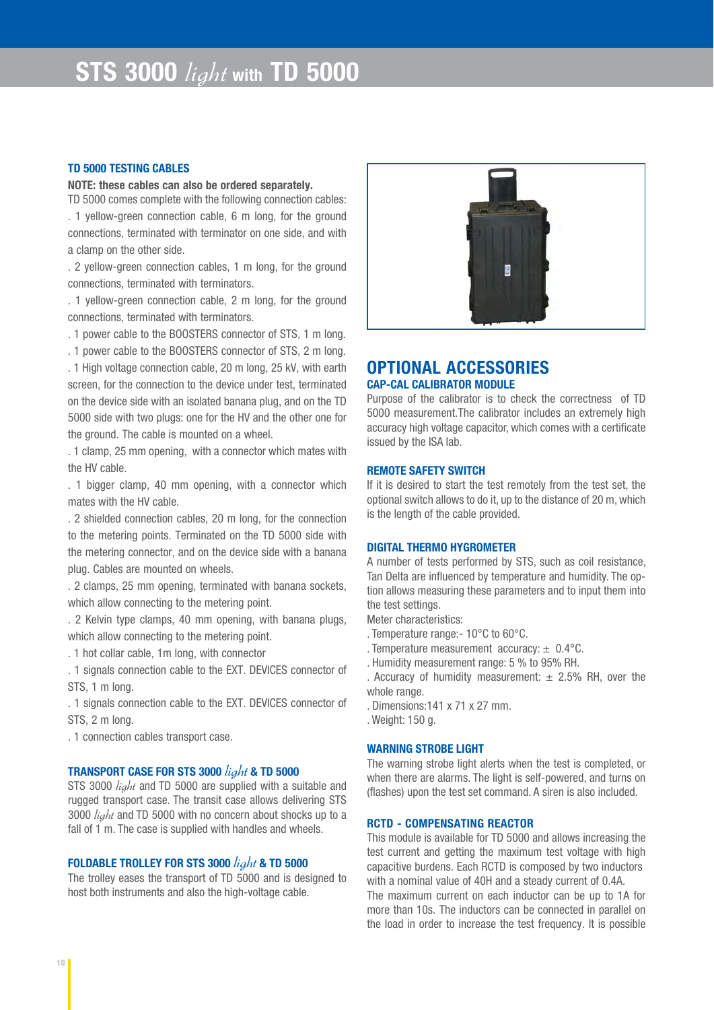#### **TD 5000 TESTING CABLES**

**NOTE: these cables can also be ordered separately.**

TD 5000 comes complete with the following connection cables: . 1 yellow-green connection cable, 6 m long, for the ground connections, terminated with terminator on one side, and with a clamp on the other side.

. 2 yellow-green connection cables, 1 m long, for the ground connections, terminated with terminators.

. 1 yellow-green connection cable, 2 m long, for the ground connections, terminated with terminators.

. 1 power cable to the BOOSTERS connector of STS, 1 m long.

. 1 power cable to the BOOSTERS connector of STS, 2 m long.

. 1 High voltage connection cable, 20 m long, 25 kV, with earth screen, for the connection to the device under test, terminated on the device side with an isolated banana plug, and on the TD 5000 side with two plugs: one for the HV and the other one for the ground. The cable is mounted on a wheel.

. 1 clamp, 25 mm opening, with a connector which mates with the HV cable.

. 1 bigger clamp, 40 mm opening, with a connector which mates with the HV cable.

. 2 shielded connection cables, 20 m long, for the connection to the metering points. Terminated on the TD 5000 side with the metering connector, and on the device side with a banana plug. Cables are mounted on wheels.

. 2 clamps, 25 mm opening, terminated with banana sockets, which allow connecting to the metering point.

. 2 Kelvin type clamps, 40 mm opening, with banana plugs, which allow connecting to the metering point.

. 1 hot collar cable, 1m long, with connector

. 1 signals connection cable to the EXT. DEVICES connector of STS, 1 m long.

. 1 signals connection cable to the EXT. DEVICES connector of STS, 2 m long.

. 1 connection cables transport case.

#### **TRANSPORT CASE FOR STS 3000** light **& TD 5000**

STS 3000 *light* and TD 5000 are supplied with a suitable and rugged transport case. The transit case allows delivering STS 3000  $\frac{light}{4}$  and TD 5000 with no concern about shocks up to a fall of 1 m. The case is supplied with handles and wheels.

#### **FOLDABLE TROLLEY FOR STS 3000** light **& TD 5000**

The trolley eases the transport of TD 5000 and is designed to host both instruments and also the high-voltage cable.



### **OPTIONAL ACCESSORIES CAP-CAL CALIBRATOR MODULE**

Purpose of the calibrator is to check the correctness of TD 5000 measurement.The calibrator includes an extremely high accuracy high voltage capacitor, which comes with a certificate issued by the ISA lab.

#### **REMOTE SAFETY SWITCH**

If it is desired to start the test remotely from the test set, the optional switch allows to do it, up to the distance of 20 m, which is the length of the cable provided.

#### **DIGITAL THERMO HYGROMETER**

A number of tests performed by STS, such as coil resistance, Tan Delta are influenced by temperature and humidity. The option allows measuring these parameters and to input them into the test settings.

Meter characteristics:

- . Temperature range:- 10°C to 60°C.
- . Temperature measurement accuracy:  $\pm$  0.4°C.
- . Humidity measurement range: 5 % to 95% RH.
- . Accuracy of humidity measurement:  $\pm$  2.5% RH, over the whole range.
- . Dimensions:141 x 71 x 27 mm.
- . Weight: 150 g.

#### **WARNING STROBE LIGHT**

The warning strobe light alerts when the test is completed, or when there are alarms. The light is self-powered, and turns on (flashes) upon the test set command. A siren is also included.

#### **RCTD - COMPENSATING REACTOR**

This module is available for TD 5000 and allows increasing the test current and getting the maximum test voltage with high capacitive burdens. Each RCTD is composed by two inductors with a nominal value of 40H and a steady current of 0.4A. The maximum current on each inductor can be up to 1A for more than 10s. The inductors can be connected in parallel on the load in order to increase the test frequency. It is possible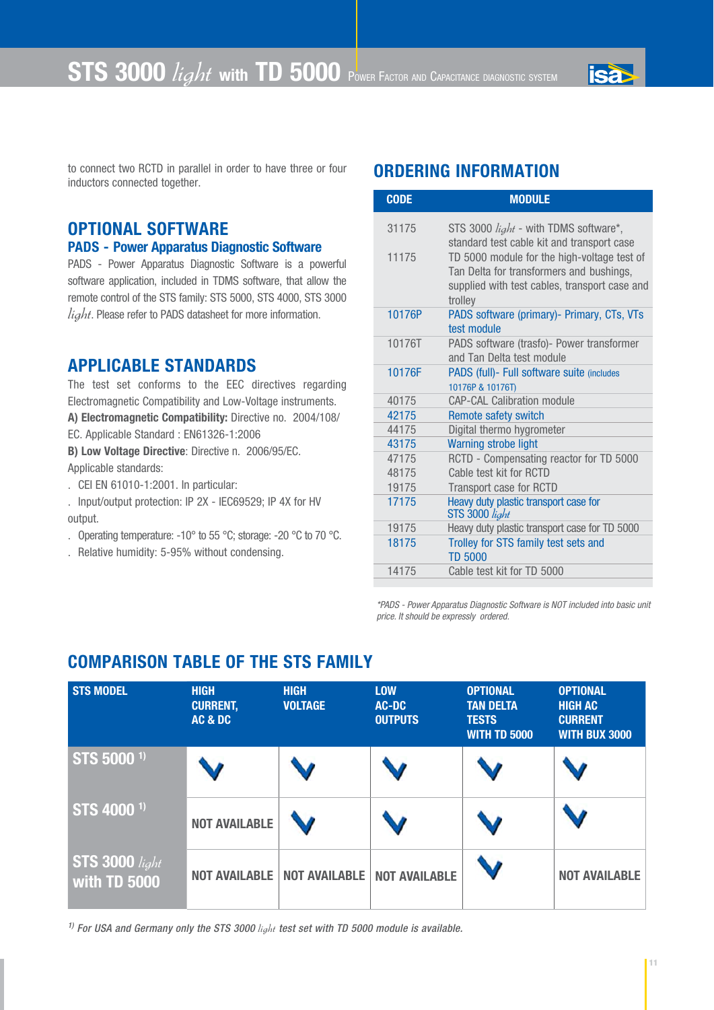

to connect two RCTD in parallel in order to have three or four inductors connected together.

### **OPTIONAL SOFTWARE**

### **PADS - Power Apparatus Diagnostic Software**

PADS - Power Apparatus Diagnostic Software is a powerful software application, included in TDMS software, that allow the remote control of the STS family: STS 5000, STS 4000, STS 3000  $light$ . Please refer to PADS datasheet for more information.

### **APPLICABLE STANDARDS**

The test set conforms to the EEC directives regarding Electromagnetic Compatibility and Low-Voltage instruments. **A) Electromagnetic Compatibility:** Directive no. 2004/108/

EC. Applicable Standard : EN61326-1:2006

**B) Low Voltage Directive**: Directive n. 2006/95/EC. Applicable standards:

. CEI EN 61010-1:2001. In particular:

. Input/output protection: IP 2X - IEC69529; IP 4X for HV output.

- . Operating temperature: -10° to 55 °C; storage: -20 °C to 70 °C.
- . Relative humidity: 5-95% without condensing.

## **ORDERING INFORMATION**

| <b>CODE</b> | <b>MODULE</b>                                                                                                                                       |
|-------------|-----------------------------------------------------------------------------------------------------------------------------------------------------|
| 31175       | STS 3000 $light$ - with TDMS software*,<br>standard test cable kit and transport case                                                               |
| 11175       | TD 5000 module for the high-voltage test of<br>Tan Delta for transformers and bushings,<br>supplied with test cables, transport case and<br>trolley |
| 10176P      | PADS software (primary) - Primary, CTs, VTs<br>test module                                                                                          |
| 10176T      | PADS software (trasfo)- Power transformer<br>and Tan Delta test module                                                                              |
| 10176F      | PADS (full)- Full software suite (includes<br>10176P & 10176T)                                                                                      |
| 40175       | <b>CAP-CAL Calibration module</b>                                                                                                                   |
| 42175       | <b>Remote safety switch</b>                                                                                                                         |
| 44175       | Digital thermo hygrometer                                                                                                                           |
| 43175       | <b>Warning strobe light</b>                                                                                                                         |
| 47175       | RCTD - Compensating reactor for TD 5000                                                                                                             |
| 48175       | Cable test kit for RCTD                                                                                                                             |
| 19175       | Transport case for RCTD                                                                                                                             |
| 17175       | Heavy duty plastic transport case for<br>STS 3000 light                                                                                             |
| 19175       | Heavy duty plastic transport case for TD 5000                                                                                                       |
| 18175       | Trolley for STS family test sets and<br><b>TD 5000</b>                                                                                              |
| 14175       | Cable test kit for TD 5000                                                                                                                          |
|             |                                                                                                                                                     |

*\*PADS - Power Apparatus Diagnostic Software is NOT included into basic unit price. It should be expressly ordered.*

### **COMPARISON TABLE OF THE STS FAMILY**

| <b>STS MODEL</b>               | <b>HIGH</b><br><b>CURRENT,</b><br>AC & DC | <b>HIGH</b><br><b>VOLTAGE</b> | <b>LOW</b><br>AC-DC<br><b>OUTPUTS</b> | <b>OPTIONAL</b><br><b>TAN DELTA</b><br><b>TESTS</b><br><b>WITH TD 5000</b> | <b>OPTIONAL</b><br><b>HIGH AC</b><br><b>CURRENT</b><br><b>WITH BUX 3000</b> |
|--------------------------------|-------------------------------------------|-------------------------------|---------------------------------------|----------------------------------------------------------------------------|-----------------------------------------------------------------------------|
| STS 5000 <sup>1)</sup>         |                                           |                               |                                       |                                                                            |                                                                             |
| STS 4000 <sup>1)</sup>         | <b>NOT AVAILABLE</b>                      |                               |                                       |                                                                            |                                                                             |
| STS 3000 light<br>with TD 5000 | <b>NOT AVAILABLE</b>                      | <b>NOT AVAILABLE</b>          | <b>NOT AVAILABLE</b>                  |                                                                            | <b>NOT AVAILABLE</b>                                                        |

<sup>1)</sup> For USA and Germany only the STS 3000 *light* test set with TD 5000 module is available.